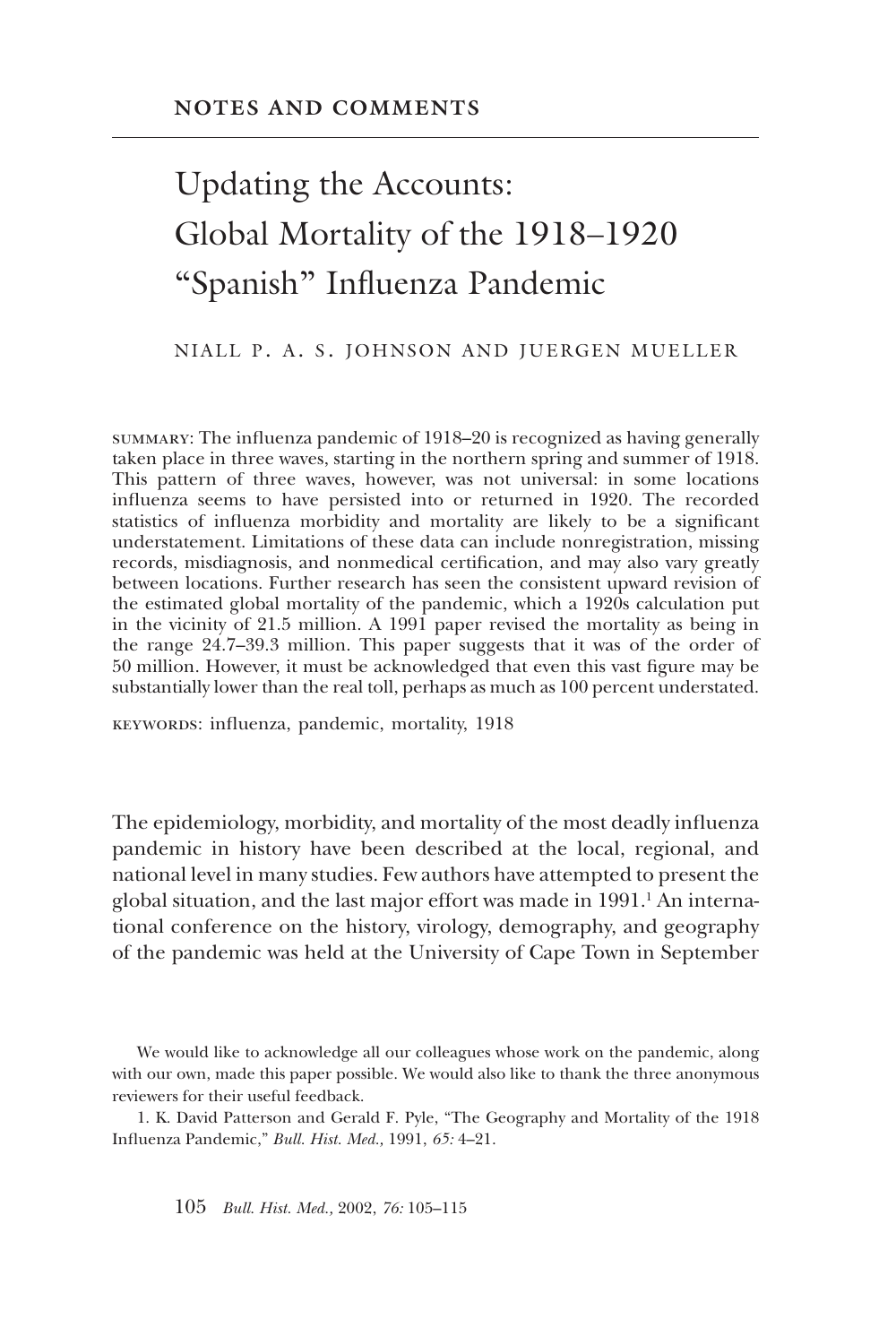# Updating the Accounts: Global Mortality of the 1918–1920 "Spanish" Influenza Pandemic

#### NIALL P. A. S. JOHNSON AND JUERGEN MUELLER

summary: The influenza pandemic of 1918–20 is recognized as having generally taken place in three waves, starting in the northern spring and summer of 1918. This pattern of three waves, however, was not universal: in some locations influenza seems to have persisted into or returned in 1920. The recorded statistics of influenza morbidity and mortality are likely to be a significant understatement. Limitations of these data can include nonregistration, missing records, misdiagnosis, and nonmedical certification, and may also vary greatly between locations. Further research has seen the consistent upward revision of the estimated global mortality of the pandemic, which a 1920s calculation put in the vicinity of 21.5 million. A 1991 paper revised the mortality as being in the range 24.7–39.3 million. This paper suggests that it was of the order of 50 million. However, it must be acknowledged that even this vast figure may be substantially lower than the real toll, perhaps as much as 100 percent understated.

keywords: influenza, pandemic, mortality, 1918

The epidemiology, morbidity, and mortality of the most deadly influenza pandemic in history have been described at the local, regional, and national level in many studies. Few authors have attempted to present the global situation, and the last major effort was made in 1991.<sup>1</sup> An international conference on the history, virology, demography, and geography of the pandemic was held at the University of Cape Town in September

We would like to acknowledge all our colleagues whose work on the pandemic, along with our own, made this paper possible. We would also like to thank the three anonymous reviewers for their useful feedback.

1. K. David Patterson and Gerald F. Pyle, "The Geography and Mortality of the 1918 Influenza Pandemic," *Bull. Hist. Med.,* 1991, *65:* 4–21.

105 *Bull. Hist. Med.,* 2002, *76:* 105–115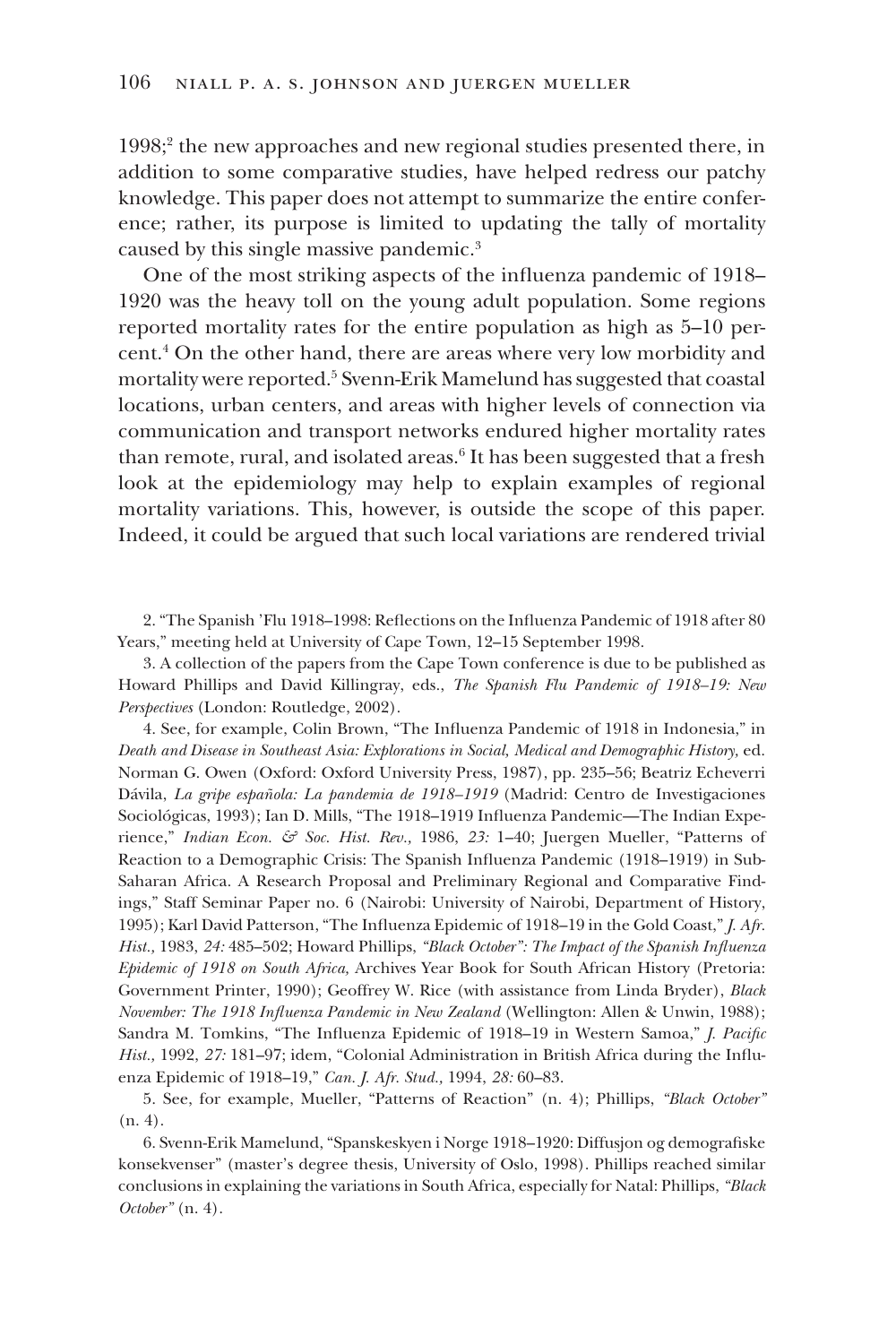1998;<sup>2</sup> the new approaches and new regional studies presented there, in addition to some comparative studies, have helped redress our patchy knowledge. This paper does not attempt to summarize the entire conference; rather, its purpose is limited to updating the tally of mortality caused by this single massive pandemic.3

One of the most striking aspects of the influenza pandemic of 1918– 1920 was the heavy toll on the young adult population. Some regions reported mortality rates for the entire population as high as 5–10 percent.4 On the other hand, there are areas where very low morbidity and mortality were reported.<sup>5</sup> Svenn-Erik Mamelund has suggested that coastal locations, urban centers, and areas with higher levels of connection via communication and transport networks endured higher mortality rates than remote, rural, and isolated areas. $^6$  It has been suggested that a fresh look at the epidemiology may help to explain examples of regional mortality variations. This, however, is outside the scope of this paper. Indeed, it could be argued that such local variations are rendered trivial

2. "The Spanish 'Flu 1918–1998: Reflections on the Influenza Pandemic of 1918 after 80 Years," meeting held at University of Cape Town, 12–15 September 1998.

3. A collection of the papers from the Cape Town conference is due to be published as Howard Phillips and David Killingray, eds., *The Spanish Flu Pandemic of 1918–19: New Perspectives* (London: Routledge, 2002).

4. See, for example, Colin Brown, "The Influenza Pandemic of 1918 in Indonesia," in *Death and Disease in Southeast Asia: Explorations in Social, Medical and Demographic History,* ed. Norman G. Owen (Oxford: Oxford University Press, 1987), pp. 235–56; Beatriz Echeverri Dávila, *La gripe española: La pandemia de 1918–1919* (Madrid: Centro de Investigaciones Sociológicas, 1993); Ian D. Mills, "The 1918–1919 Influenza Pandemic—The Indian Experience," *Indian Econ. & Soc. Hist. Rev.,* 1986, *23:* 1–40; Juergen Mueller, "Patterns of Reaction to a Demographic Crisis: The Spanish Influenza Pandemic (1918–1919) in Sub-Saharan Africa. A Research Proposal and Preliminary Regional and Comparative Findings," Staff Seminar Paper no. 6 (Nairobi: University of Nairobi, Department of History, 1995); Karl David Patterson, "The Influenza Epidemic of 1918–19 in the Gold Coast," *J. Afr. Hist.,* 1983, *24:* 485–502; Howard Phillips, *"Black October": The Impact of the Spanish Influenza Epidemic of 1918 on South Africa,* Archives Year Book for South African History (Pretoria: Government Printer, 1990); Geoffrey W. Rice (with assistance from Linda Bryder), *Black November: The 1918 Influenza Pandemic in New Zealand* (Wellington: Allen & Unwin, 1988); Sandra M. Tomkins, "The Influenza Epidemic of 1918–19 in Western Samoa," *J. Pacific Hist.,* 1992, *27:* 181–97; idem, "Colonial Administration in British Africa during the Influenza Epidemic of 1918–19," *Can. J. Afr. Stud.,* 1994, *28:* 60–83.

5. See, for example, Mueller, "Patterns of Reaction" (n. 4); Phillips, *"Black October"* (n. 4).

6. Svenn-Erik Mamelund, "Spanskeskyen i Norge 1918–1920: Diffusjon og demografiske konsekvenser" (master's degree thesis, University of Oslo, 1998). Phillips reached similar conclusions in explaining the variations in South Africa, especially for Natal: Phillips, *"Black October"* (n. 4).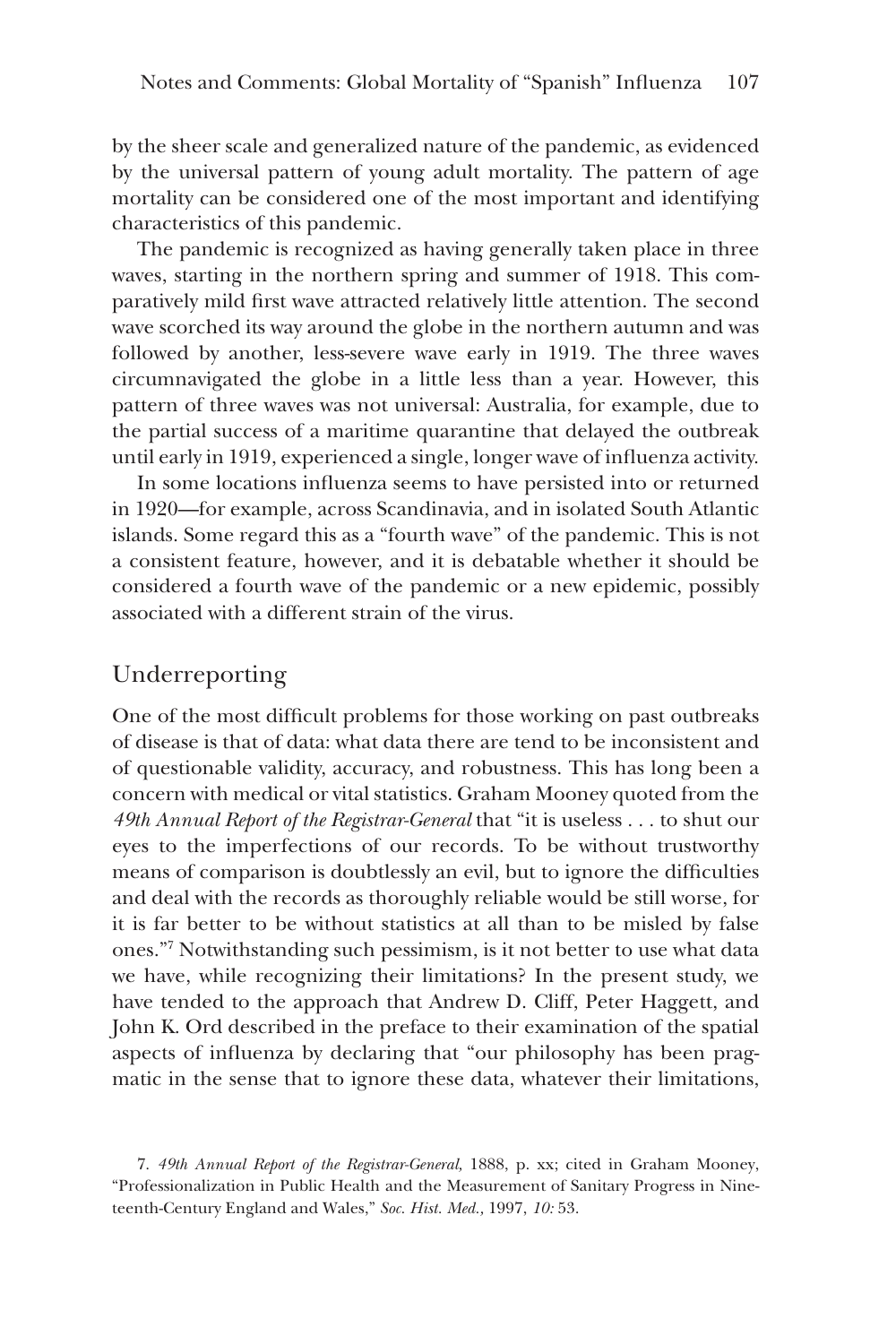by the sheer scale and generalized nature of the pandemic, as evidenced by the universal pattern of young adult mortality. The pattern of age mortality can be considered one of the most important and identifying characteristics of this pandemic.

The pandemic is recognized as having generally taken place in three waves, starting in the northern spring and summer of 1918. This comparatively mild first wave attracted relatively little attention. The second wave scorched its way around the globe in the northern autumn and was followed by another, less-severe wave early in 1919. The three waves circumnavigated the globe in a little less than a year. However, this pattern of three waves was not universal: Australia, for example, due to the partial success of a maritime quarantine that delayed the outbreak until early in 1919, experienced a single, longer wave of influenza activity.

In some locations influenza seems to have persisted into or returned in 1920—for example, across Scandinavia, and in isolated South Atlantic islands. Some regard this as a "fourth wave" of the pandemic. This is not a consistent feature, however, and it is debatable whether it should be considered a fourth wave of the pandemic or a new epidemic, possibly associated with a different strain of the virus.

## Underreporting

One of the most difficult problems for those working on past outbreaks of disease is that of data: what data there are tend to be inconsistent and of questionable validity, accuracy, and robustness. This has long been a concern with medical or vital statistics. Graham Mooney quoted from the *49th Annual Report of the Registrar-General* that "it is useless . . . to shut our eyes to the imperfections of our records. To be without trustworthy means of comparison is doubtlessly an evil, but to ignore the difficulties and deal with the records as thoroughly reliable would be still worse, for it is far better to be without statistics at all than to be misled by false ones."7 Notwithstanding such pessimism, is it not better to use what data we have, while recognizing their limitations? In the present study, we have tended to the approach that Andrew D. Cliff, Peter Haggett, and John K. Ord described in the preface to their examination of the spatial aspects of influenza by declaring that "our philosophy has been pragmatic in the sense that to ignore these data, whatever their limitations,

<sup>7.</sup> *49th Annual Report of the Registrar-General,* 1888, p. xx; cited in Graham Mooney, "Professionalization in Public Health and the Measurement of Sanitary Progress in Nineteenth-Century England and Wales," *Soc. Hist. Med.,* 1997, *10:* 53.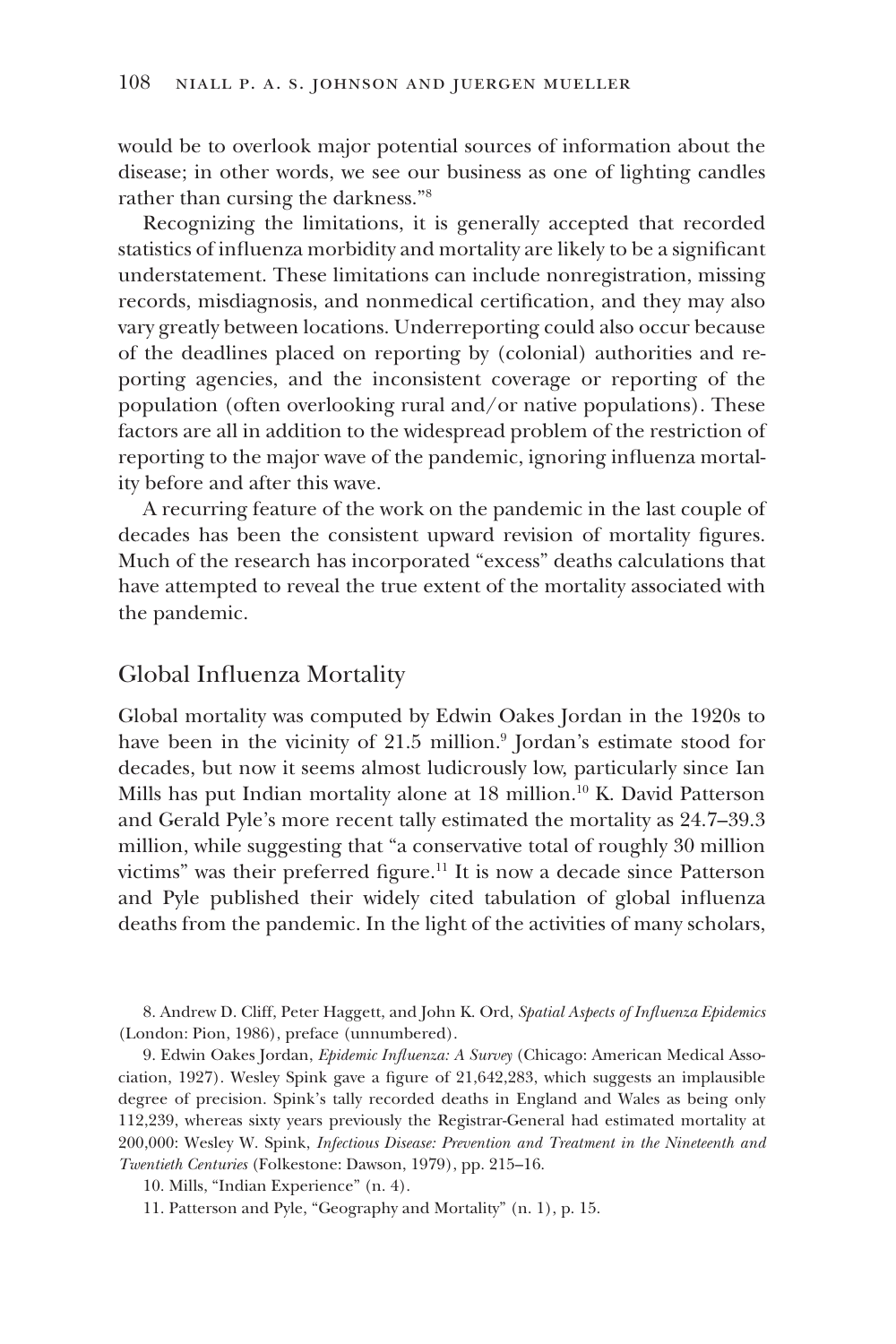would be to overlook major potential sources of information about the disease; in other words, we see our business as one of lighting candles rather than cursing the darkness."8

Recognizing the limitations, it is generally accepted that recorded statistics of influenza morbidity and mortality are likely to be a significant understatement. These limitations can include nonregistration, missing records, misdiagnosis, and nonmedical certification, and they may also vary greatly between locations. Underreporting could also occur because of the deadlines placed on reporting by (colonial) authorities and reporting agencies, and the inconsistent coverage or reporting of the population (often overlooking rural and/or native populations). These factors are all in addition to the widespread problem of the restriction of reporting to the major wave of the pandemic, ignoring influenza mortality before and after this wave.

A recurring feature of the work on the pandemic in the last couple of decades has been the consistent upward revision of mortality figures. Much of the research has incorporated "excess" deaths calculations that have attempted to reveal the true extent of the mortality associated with the pandemic.

### Global Influenza Mortality

Global mortality was computed by Edwin Oakes Jordan in the 1920s to have been in the vicinity of 21.5 million.<sup>9</sup> Jordan's estimate stood for decades, but now it seems almost ludicrously low, particularly since Ian Mills has put Indian mortality alone at 18 million.<sup>10</sup> K. David Patterson and Gerald Pyle's more recent tally estimated the mortality as 24.7–39.3 million, while suggesting that "a conservative total of roughly 30 million victims" was their preferred figure.<sup>11</sup> It is now a decade since Patterson and Pyle published their widely cited tabulation of global influenza deaths from the pandemic. In the light of the activities of many scholars,

8. Andrew D. Cliff, Peter Haggett, and John K. Ord, *Spatial Aspects of Influenza Epidemics* (London: Pion, 1986), preface (unnumbered).

9. Edwin Oakes Jordan, *Epidemic Influenza: A Survey* (Chicago: American Medical Association, 1927). Wesley Spink gave a figure of 21,642,283, which suggests an implausible degree of precision. Spink's tally recorded deaths in England and Wales as being only 112,239, whereas sixty years previously the Registrar-General had estimated mortality at 200,000: Wesley W. Spink, *Infectious Disease: Prevention and Treatment in the Nineteenth and Twentieth Centuries* (Folkestone: Dawson, 1979), pp. 215–16.

10. Mills, "Indian Experience" (n. 4).

11. Patterson and Pyle, "Geography and Mortality" (n. 1), p. 15.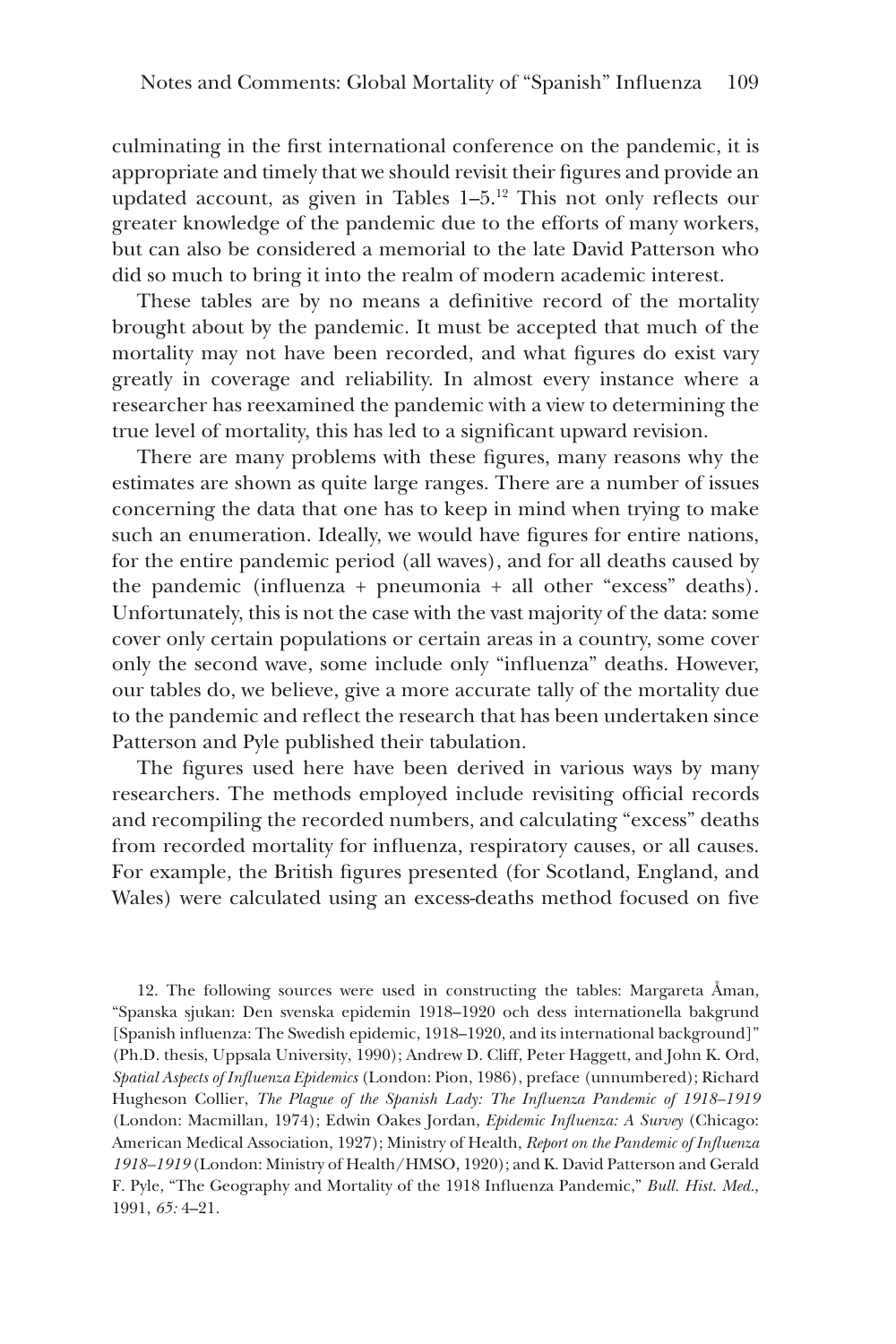culminating in the first international conference on the pandemic, it is appropriate and timely that we should revisit their figures and provide an updated account, as given in Tables 1–5.12 This not only reflects our greater knowledge of the pandemic due to the efforts of many workers, but can also be considered a memorial to the late David Patterson who did so much to bring it into the realm of modern academic interest.

These tables are by no means a definitive record of the mortality brought about by the pandemic. It must be accepted that much of the mortality may not have been recorded, and what figures do exist vary greatly in coverage and reliability. In almost every instance where a researcher has reexamined the pandemic with a view to determining the true level of mortality, this has led to a significant upward revision.

There are many problems with these figures, many reasons why the estimates are shown as quite large ranges. There are a number of issues concerning the data that one has to keep in mind when trying to make such an enumeration. Ideally, we would have figures for entire nations, for the entire pandemic period (all waves), and for all deaths caused by the pandemic (influenza + pneumonia + all other "excess" deaths). Unfortunately, this is not the case with the vast majority of the data: some cover only certain populations or certain areas in a country, some cover only the second wave, some include only "influenza" deaths. However, our tables do, we believe, give a more accurate tally of the mortality due to the pandemic and reflect the research that has been undertaken since Patterson and Pyle published their tabulation.

The figures used here have been derived in various ways by many researchers. The methods employed include revisiting official records and recompiling the recorded numbers, and calculating "excess" deaths from recorded mortality for influenza, respiratory causes, or all causes. For example, the British figures presented (for Scotland, England, and Wales) were calculated using an excess-deaths method focused on five

12. The following sources were used in constructing the tables: Margareta Åman, "Spanska sjukan: Den svenska epidemin 1918–1920 och dess internationella bakgrund [Spanish influenza: The Swedish epidemic, 1918–1920, and its international background]" (Ph.D. thesis, Uppsala University, 1990); Andrew D. Cliff, Peter Haggett, and John K. Ord, *Spatial Aspects of Influenza Epidemics* (London: Pion, 1986), preface (unnumbered); Richard Hugheson Collier, *The Plague of the Spanish Lady: The Influenza Pandemic of 1918–1919* (London: Macmillan, 1974); Edwin Oakes Jordan, *Epidemic Influenza: A Survey* (Chicago: American Medical Association, 1927); Ministry of Health, *Report on the Pandemic of Influenza 1918–1919* (London: Ministry of Health/HMSO, 1920); and K. David Patterson and Gerald F. Pyle, "The Geography and Mortality of the 1918 Influenza Pandemic," *Bull. Hist. Med.*, 1991, *65:* 4–21.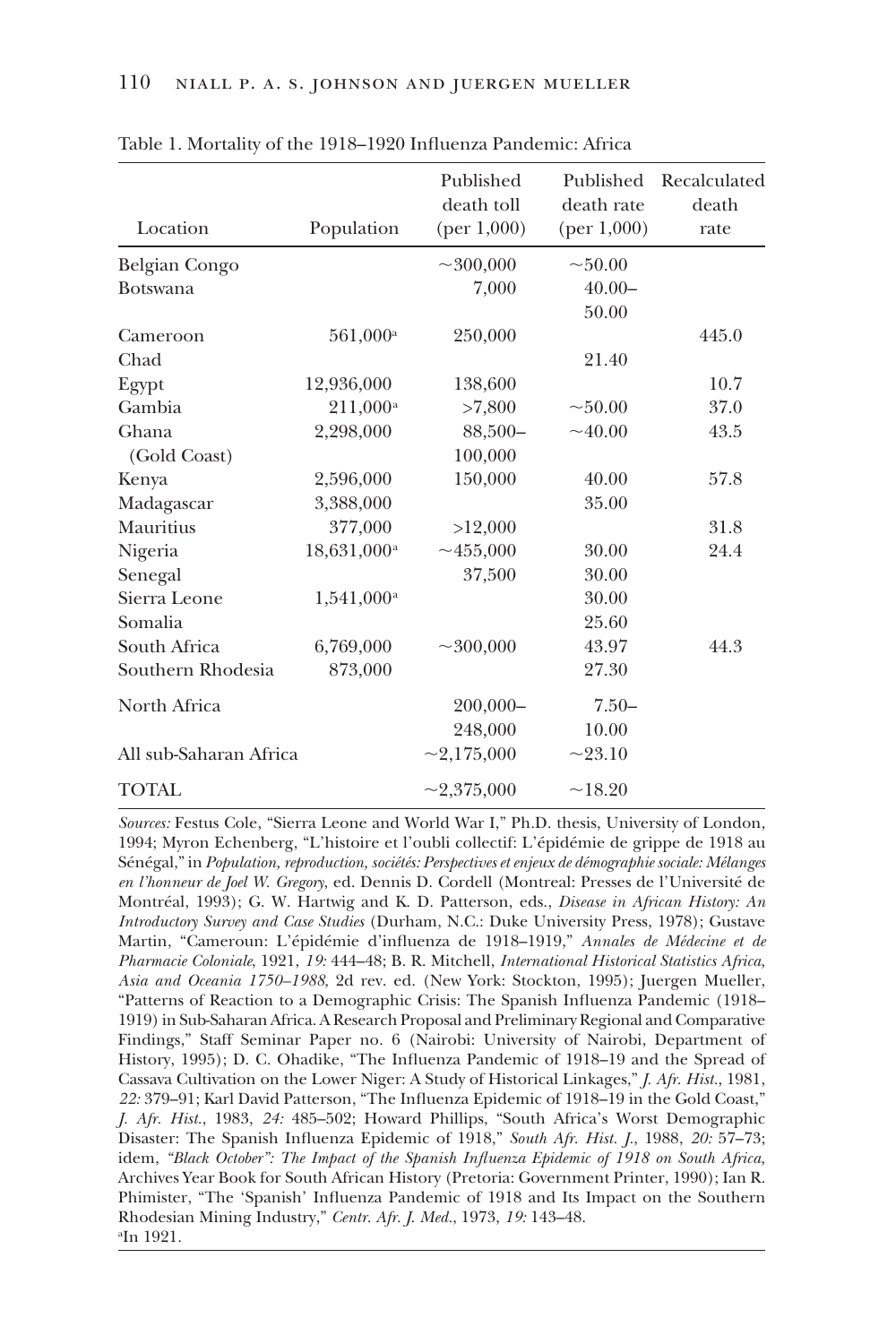| Location               | Population              | Published<br>death toll<br>(per 1,000) | Published<br>death rate<br>(per 1,000) | Recalculated<br>death<br>rate |
|------------------------|-------------------------|----------------------------------------|----------------------------------------|-------------------------------|
|                        |                         |                                        |                                        |                               |
| Belgian Congo          |                         | $\sim$ 300,000                         | ~100.00                                |                               |
| <b>Botswana</b>        |                         | 7,000                                  | $40.00 -$                              |                               |
|                        |                         |                                        | 50.00                                  |                               |
| Cameroon               | $561,000^{\rm a}$       | 250,000                                |                                        | 445.0                         |
| Chad                   |                         |                                        | 21.40                                  |                               |
| Egypt                  | 12,936,000              | 138,600                                |                                        | 10.7                          |
| Gambia                 | 211,000 <sup>a</sup>    | >7,800                                 | ~1000                                  | 37.0                          |
| Ghana                  | 2,298,000               | 88,500-                                | $\sim 40.00$                           | 43.5                          |
| (Gold Coast)           |                         | 100,000                                |                                        |                               |
| Kenya                  | 2,596,000               | 150,000                                | 40.00                                  | 57.8                          |
| Madagascar             | 3,388,000               |                                        | 35.00                                  |                               |
| Mauritius              | 377,000                 | >12,000                                |                                        | 31.8                          |
| Nigeria                | 18,631,000 <sup>a</sup> | $\sim$ 455,000                         | 30.00                                  | 24.4                          |
| Senegal                |                         | 37,500                                 | 30.00                                  |                               |
| Sierra Leone           | $1,541,000^{\rm a}$     |                                        | 30.00                                  |                               |
| Somalia                |                         |                                        | 25.60                                  |                               |
| South Africa           | 6,769,000               | $\sim$ 300,000                         | 43.97                                  | 44.3                          |
| Southern Rhodesia      | 873,000                 |                                        | 27.30                                  |                               |
| North Africa           |                         | $200,000 -$                            | $7.50-$                                |                               |
|                        |                         | 248,000                                | 10.00                                  |                               |
| All sub-Saharan Africa |                         | $\sim$ 2,175,000                       | $\sim$ 23.10                           |                               |
| <b>TOTAL</b>           |                         | $\sim$ 2,375,000                       | ~18.20                                 |                               |
|                        |                         |                                        |                                        |                               |

Table 1. Mortality of the 1918–1920 Influenza Pandemic: Africa

*Sources:* Festus Cole, "Sierra Leone and World War I," Ph.D. thesis, University of London, 1994; Myron Echenberg, "L'histoire et l'oubli collectif: L'épidémie de grippe de 1918 au Sénégal," in *Population, reproduction, sociétés: Perspectives et enjeux de démographie sociale: Mélanges en l'honneur de Joel W. Gregory*, ed. Dennis D. Cordell (Montreal: Presses de l'Université de Montréal, 1993); G. W. Hartwig and K. D. Patterson, eds., *Disease in African History: An Introductory Survey and Case Studies* (Durham, N.C.: Duke University Press, 1978); Gustave Martin, "Cameroun: L'épidémie d'influenza de 1918–1919," *Annales de Médecine et de Pharmacie Coloniale*, 1921, *19:* 444–48; B. R. Mitchell, *International Historical Statistics Africa, Asia and Oceania 1750–1988*, 2d rev. ed. (New York: Stockton, 1995); Juergen Mueller, "Patterns of Reaction to a Demographic Crisis: The Spanish Influenza Pandemic (1918– 1919) in Sub-Saharan Africa. A Research Proposal and Preliminary Regional and Comparative Findings," Staff Seminar Paper no. 6 (Nairobi: University of Nairobi, Department of History, 1995); D. C. Ohadike, "The Influenza Pandemic of 1918–19 and the Spread of Cassava Cultivation on the Lower Niger: A Study of Historical Linkages," *J. Afr. Hist.*, 1981, *22:* 379–91; Karl David Patterson, "The Influenza Epidemic of 1918–19 in the Gold Coast," *J. Afr. Hist.*, 1983, *24:* 485–502; Howard Phillips, "South Africa's Worst Demographic Disaster: The Spanish Influenza Epidemic of 1918," *South Afr. Hist. J.*, 1988, *20:* 57–73; idem, *"Black October": The Impact of the Spanish Influenza Epidemic of 1918 on South Africa,* Archives Year Book for South African History (Pretoria: Government Printer, 1990); Ian R. Phimister, "The 'Spanish' Influenza Pandemic of 1918 and Its Impact on the Southern Rhodesian Mining Industry," *Centr. Afr. J. Med.*, 1973, *19:* 143–48. a In 1921.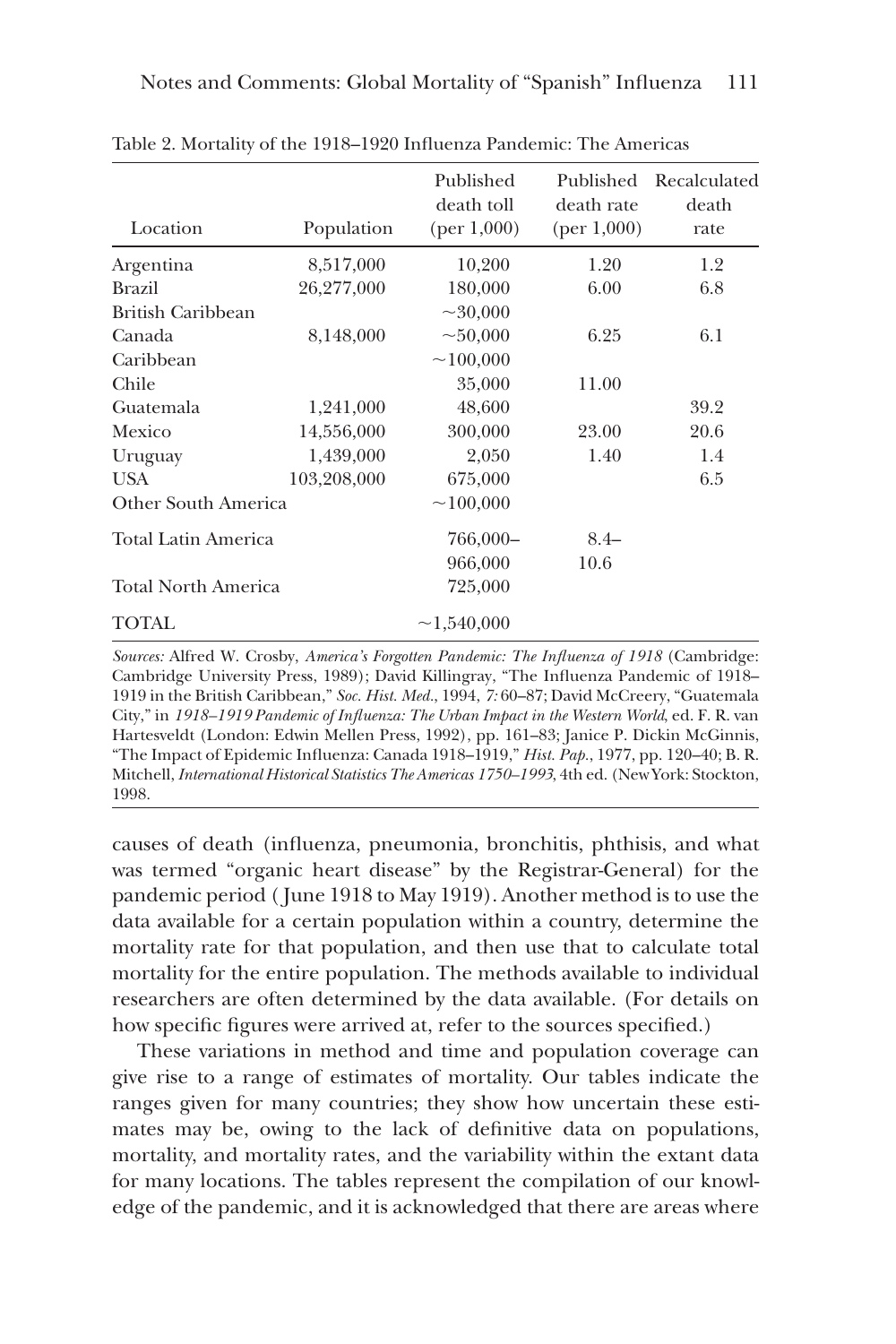| Location                   | Population  | Published<br>death toll<br>(per 1,000) | Published<br>death rate<br>(per 1,000) | Recalculated<br>death<br>rate |
|----------------------------|-------------|----------------------------------------|----------------------------------------|-------------------------------|
| Argentina                  | 8,517,000   | 10,200                                 | 1.20                                   | 1.2                           |
| <b>Brazil</b>              | 26,277,000  | 180,000                                | 6.00                                   | 6.8                           |
| British Caribbean          |             | $\sim 30,000$                          |                                        |                               |
| Canada                     | 8,148,000   | ~100,000                               | 6.25                                   | 6.1                           |
| Caribbean                  |             | ~100,000                               |                                        |                               |
| Chile                      |             | 35,000                                 | 11.00                                  |                               |
| Guatemala                  | 1,241,000   | 48,600                                 |                                        | 39.2                          |
| Mexico                     | 14,556,000  | 300,000                                | 23.00                                  | 20.6                          |
| Uruguay                    | 1,439,000   | 2,050                                  | 1.40                                   | 1.4                           |
| <b>USA</b>                 | 103,208,000 | 675,000                                |                                        | 6.5                           |
| Other South America        |             | ~100,000                               |                                        |                               |
| Total Latin America        |             | 766,000-                               | $8.4-$                                 |                               |
|                            |             | 966,000                                | 10.6                                   |                               |
| <b>Total North America</b> |             | 725,000                                |                                        |                               |
| TOTAL                      |             | ~1,540,000                             |                                        |                               |

Table 2. Mortality of the 1918–1920 Influenza Pandemic: The Americas

*Sources:* Alfred W. Crosby, *America's Forgotten Pandemic: The Influenza of 1918* (Cambridge: Cambridge University Press, 1989); David Killingray, "The Influenza Pandemic of 1918– 1919 in the British Caribbean," *Soc. Hist. Med.*, 1994, *7:* 60–87; David McCreery, "Guatemala City," in *1918–1919 Pandemic of Influenza: The Urban Impact in the Western World*, ed. F. R. van Hartesveldt (London: Edwin Mellen Press, 1992), pp. 161–83; Janice P. Dickin McGinnis, "The Impact of Epidemic Influenza: Canada 1918–1919," *Hist. Pap.*, 1977, pp. 120–40; B. R. Mitchell, *International Historical Statistics The Americas 1750–1993*, 4th ed. (New York: Stockton, 1998.

causes of death (influenza, pneumonia, bronchitis, phthisis, and what was termed "organic heart disease" by the Registrar-General) for the pandemic period ( June 1918 to May 1919). Another method is to use the data available for a certain population within a country, determine the mortality rate for that population, and then use that to calculate total mortality for the entire population. The methods available to individual researchers are often determined by the data available. (For details on how specific figures were arrived at, refer to the sources specified.)

These variations in method and time and population coverage can give rise to a range of estimates of mortality. Our tables indicate the ranges given for many countries; they show how uncertain these estimates may be, owing to the lack of definitive data on populations, mortality, and mortality rates, and the variability within the extant data for many locations. The tables represent the compilation of our knowledge of the pandemic, and it is acknowledged that there are areas where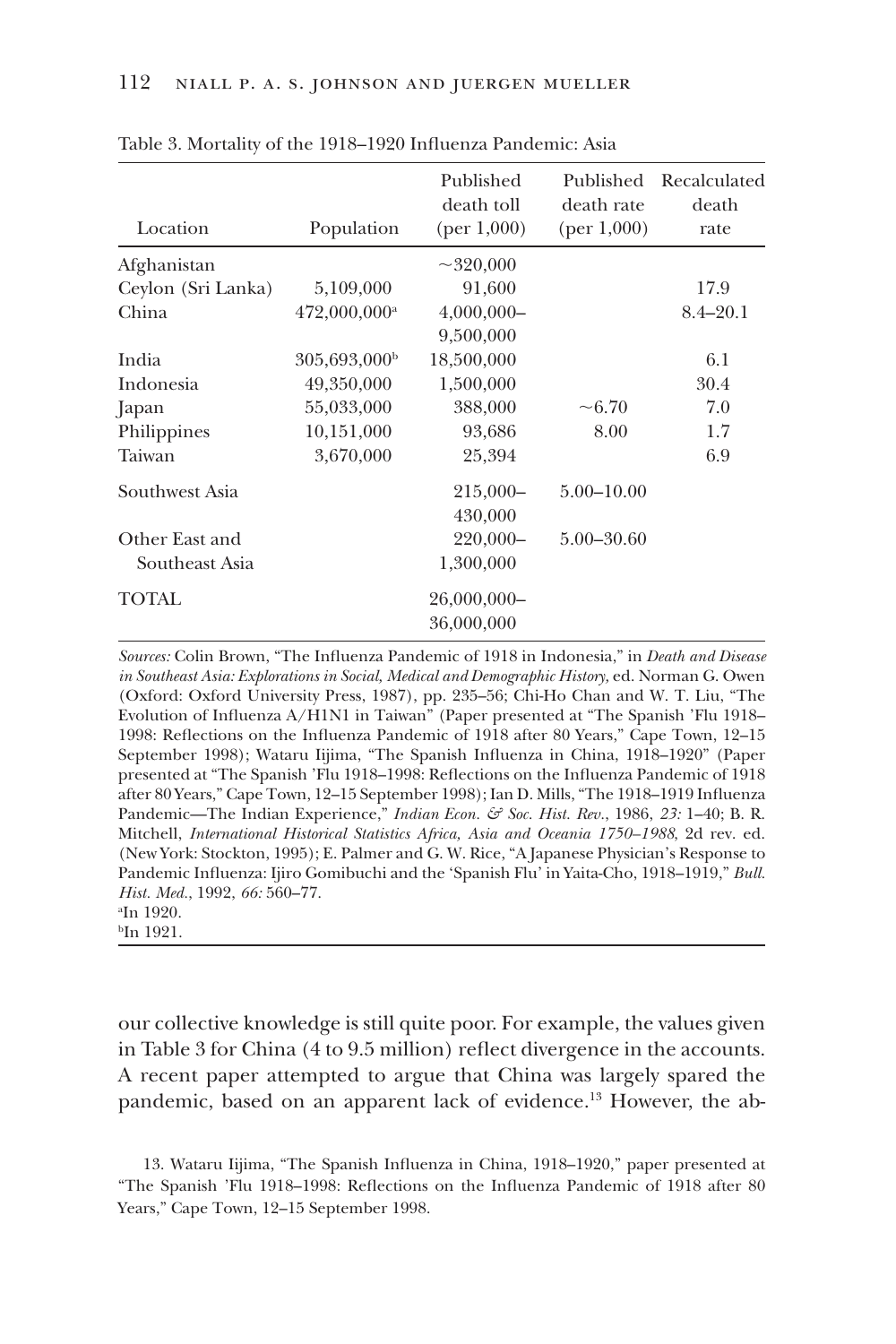| Location           | Population               | Published<br>death toll<br>(per 1,000) | Published<br>death rate<br>(per 1,000) | Recalculated<br>death<br>rate |
|--------------------|--------------------------|----------------------------------------|----------------------------------------|-------------------------------|
| Afghanistan        |                          | $\sim$ 320,000                         |                                        |                               |
| Ceylon (Sri Lanka) | 5,109,000                | 91,600                                 |                                        | 17.9                          |
| China              | 472,000,000 <sup>a</sup> | $4,000,000 -$                          |                                        | $8.4 - 20.1$                  |
|                    |                          | 9,500,000                              |                                        |                               |
| India              | 305,693,000 <sup>b</sup> | 18,500,000                             |                                        | 6.1                           |
| Indonesia          | 49,350,000               | 1,500,000                              |                                        | 30.4                          |
| Japan              | 55,033,000               | 388,000                                | $~10-6.70$                             | 7.0                           |
| Philippines        | 10,151,000               | 93,686                                 | 8.00                                   | 1.7                           |
| Taiwan             | 3,670,000                | 25,394                                 |                                        | 6.9                           |
| Southwest Asia     |                          | $215,000 -$                            | $5.00 - 10.00$                         |                               |
|                    |                          | 430,000                                |                                        |                               |
| Other East and     |                          | 220,000-                               | $5.00 - 30.60$                         |                               |
| Southeast Asia     |                          | 1,300,000                              |                                        |                               |
| <b>TOTAL</b>       |                          | 26,000,000-                            |                                        |                               |
|                    |                          | 36,000,000                             |                                        |                               |

Table 3. Mortality of the 1918–1920 Influenza Pandemic: Asia

*Sources:* Colin Brown, "The Influenza Pandemic of 1918 in Indonesia," in *Death and Disease in Southeast Asia: Explorations in Social, Medical and Demographic History,* ed. Norman G. Owen (Oxford: Oxford University Press, 1987), pp. 235–56; Chi-Ho Chan and W. T. Liu, "The Evolution of Influenza A/H1N1 in Taiwan" (Paper presented at "The Spanish 'Flu 1918– 1998: Reflections on the Influenza Pandemic of 1918 after 80 Years," Cape Town, 12–15 September 1998); Wataru Iijima, "The Spanish Influenza in China, 1918–1920" (Paper presented at "The Spanish 'Flu 1918–1998: Reflections on the Influenza Pandemic of 1918 after 80 Years," Cape Town, 12–15 September 1998); Ian D. Mills, "The 1918–1919 Influenza Pandemic—The Indian Experience," *Indian Econ. & Soc. Hist. Rev.*, 1986, *23:* 1–40; B. R. Mitchell, *International Historical Statistics Africa, Asia and Oceania 1750–1988*, 2d rev. ed. (New York: Stockton, 1995); E. Palmer and G. W. Rice, "A Japanese Physician's Response to Pandemic Influenza: Ijiro Gomibuchi and the 'Spanish Flu' in Yaita-Cho, 1918–1919," *Bull. Hist. Med.*, 1992, *66:* 560–77.

a In 1920. b In 1921.

our collective knowledge is still quite poor. For example, the values given in Table 3 for China (4 to 9.5 million) reflect divergence in the accounts. A recent paper attempted to argue that China was largely spared the pandemic, based on an apparent lack of evidence.13 However, the ab-

13. Wataru Iijima, "The Spanish Influenza in China, 1918–1920," paper presented at "The Spanish 'Flu 1918–1998: Reflections on the Influenza Pandemic of 1918 after 80 Years," Cape Town, 12–15 September 1998.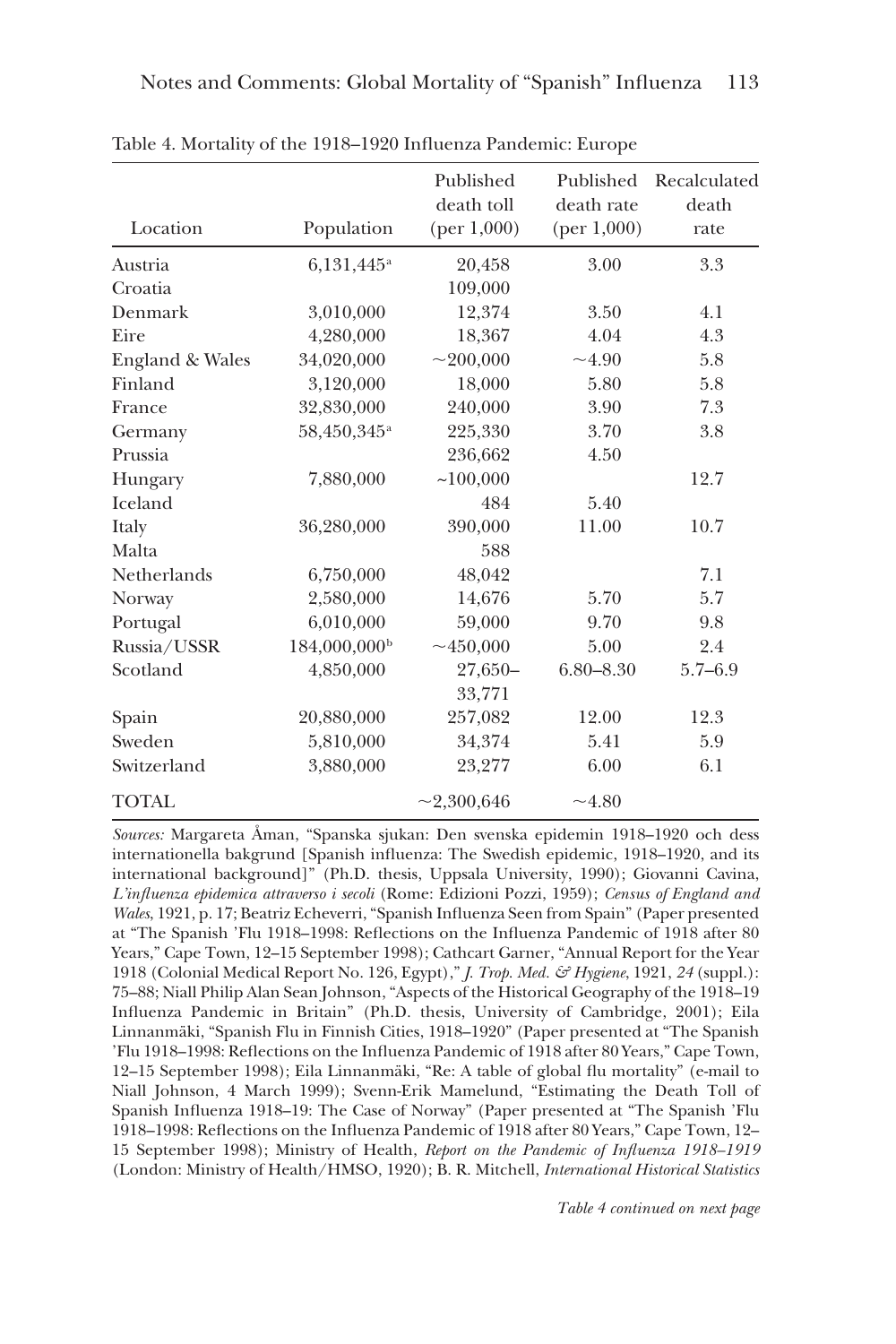| Location        | Population               | Published<br>death toll<br>(per 1,000) | Published<br>death rate<br>(per $1,000$ ) | Recalculated<br>death<br>rate |
|-----------------|--------------------------|----------------------------------------|-------------------------------------------|-------------------------------|
| Austria         | $6,131,445^{\rm a}$      | 20,458                                 | 3.00                                      | 3.3                           |
| Croatia         |                          | 109,000                                |                                           |                               |
| Denmark         | 3,010,000                | 12,374                                 | 3.50                                      | 4.1                           |
| Eire            | 4,280,000                | 18,367                                 | 4.04                                      | 4.3                           |
| England & Wales | 34,020,000               | $\sim$ 200,000                         | ~1.90                                     | 5.8                           |
| Finland         | 3,120,000                | 18,000                                 | 5.80                                      | 5.8                           |
| France          | 32,830,000               | 240,000                                | 3.90                                      | 7.3                           |
| Germany         | 58,450,345 <sup>a</sup>  | 225,330                                | 3.70                                      | 3.8                           |
| Prussia         |                          | 236,662                                | 4.50                                      |                               |
| Hungary         | 7,880,000                | ~100,000                               |                                           | 12.7                          |
| Iceland         |                          | 484                                    | 5.40                                      |                               |
| Italy           | 36,280,000               | 390,000                                | 11.00                                     | 10.7                          |
| Malta           |                          | 588                                    |                                           |                               |
| Netherlands     | 6,750,000                | 48,042                                 |                                           | 7.1                           |
| Norway          | 2,580,000                | 14,676                                 | 5.70                                      | 5.7                           |
| Portugal        | 6,010,000                | 59,000                                 | 9.70                                      | 9.8                           |
| Russia/USSR     | 184,000,000 <sup>b</sup> | ~100,000                               | 5.00                                      | 2.4                           |
| Scotland        | 4,850,000                | 27,650-                                | $6.80 - 8.30$                             | $5.7 - 6.9$                   |
|                 |                          | 33,771                                 |                                           |                               |
| Spain           | 20,880,000               | 257,082                                | 12.00                                     | 12.3                          |
| Sweden          | 5,810,000                | 34,374                                 | 5.41                                      | 5.9                           |
| Switzerland     | 3,880,000                | 23,277                                 | 6.00                                      | 6.1                           |
| <b>TOTAL</b>    |                          | $\sim$ 2,300,646                       | ~1.80                                     |                               |

Table 4. Mortality of the 1918–1920 Influenza Pandemic: Europe

*Sources:* Margareta Åman, "Spanska sjukan: Den svenska epidemin 1918–1920 och dess internationella bakgrund [Spanish influenza: The Swedish epidemic, 1918–1920, and its international background]" (Ph.D. thesis, Uppsala University, 1990); Giovanni Cavina, *L'influenza epidemica attraverso i secoli* (Rome: Edizioni Pozzi, 1959); *Census of England and Wales*, 1921, p. 17; Beatriz Echeverri, "Spanish Influenza Seen from Spain" (Paper presented at "The Spanish 'Flu 1918–1998: Reflections on the Influenza Pandemic of 1918 after 80 Years," Cape Town, 12–15 September 1998); Cathcart Garner, "Annual Report for the Year 1918 (Colonial Medical Report No. 126, Egypt)," *J. Trop. Med. & Hygiene*, 1921, *24* (suppl.): 75–88; Niall Philip Alan Sean Johnson, "Aspects of the Historical Geography of the 1918–19 Influenza Pandemic in Britain" (Ph.D. thesis, University of Cambridge, 2001); Eila Linnanmäki, "Spanish Flu in Finnish Cities, 1918–1920" (Paper presented at "The Spanish 'Flu 1918–1998: Reflections on the Influenza Pandemic of 1918 after 80 Years," Cape Town, 12–15 September 1998); Eila Linnanmäki, "Re: A table of global flu mortality" (e-mail to Niall Johnson, 4 March 1999); Svenn-Erik Mamelund, "Estimating the Death Toll of Spanish Influenza 1918–19: The Case of Norway" (Paper presented at "The Spanish 'Flu 1918–1998: Reflections on the Influenza Pandemic of 1918 after 80 Years," Cape Town, 12– 15 September 1998); Ministry of Health, *Report on the Pandemic of Influenza 1918–1919* (London: Ministry of Health/HMSO, 1920); B. R. Mitchell, *International Historical Statistics*

*Table 4 continued on next page*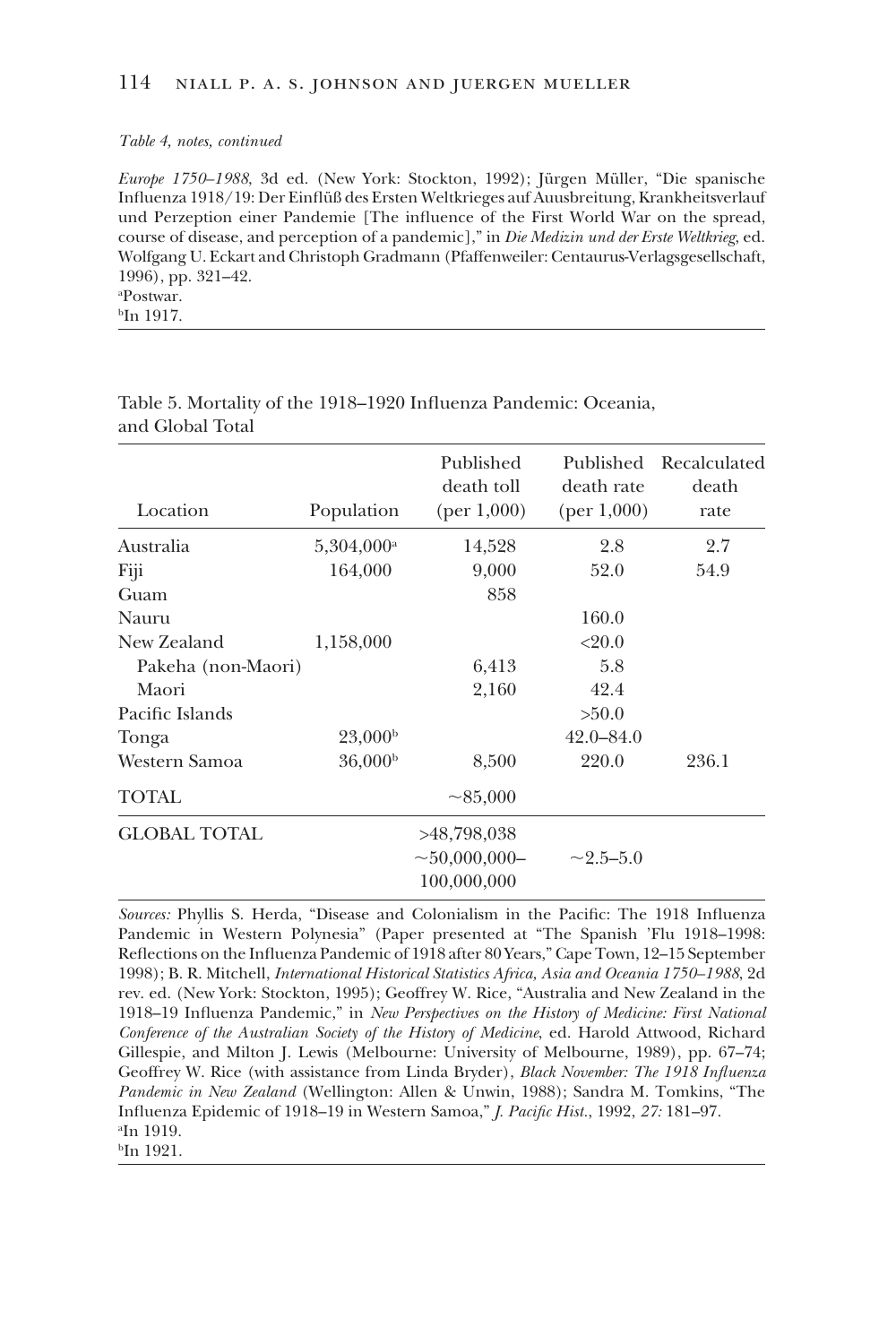#### *Table 4, notes, continued*

*Europe 1750–1988*, 3d ed. (New York: Stockton, 1992); Jürgen Müller, "Die spanische Influenza 1918/19: Der Einflüß des Ersten Weltkrieges auf Auusbreitung, Krankheitsverlauf und Perzeption einer Pandemie [The influence of the First World War on the spread, course of disease, and perception of a pandemic]," in *Die Medizin und der Erste Weltkrieg*, ed. Wolfgang U. Eckart and Christoph Gradmann (Pfaffenweiler: Centaurus-Verlagsgesellschaft, 1996), pp. 321–42. a Postwar. bIn 1917.

Published Published Recalculated death toll death rate death Location Population (per 1,000) (per 1,000) rate Australia 5,304,000<sup>a</sup> 14,528 2.8 2.7 Fiji 164,000 9,000 52.0 54.9 Guam 858 Nauru 160.0 New Zealand 1,158,000 <20.0 Pakeha (non-Maori) 6,413 5.8 Maori 2,160 42.4 Pacific Islands  $>50.0$ Tonga  $23,000<sup>b</sup>$  42.0–84.0 Western Samoa  $36,000<sup>b</sup>$  8,500 220.0 236.1 TOTAL  $\sim$ 85,000 GLOBAL TOTAL >48,798,038  $\sim$ 50,000,000- $\sim$  2.5–5.0 100,000,000

Table 5. Mortality of the 1918–1920 Influenza Pandemic: Oceania, and Global Total

*Sources:* Phyllis S. Herda, "Disease and Colonialism in the Pacific: The 1918 Influenza Pandemic in Western Polynesia" (Paper presented at "The Spanish 'Flu 1918–1998: Reflections on the Influenza Pandemic of 1918 after 80 Years," Cape Town, 12–15 September 1998); B. R. Mitchell, *International Historical Statistics Africa, Asia and Oceania 1750–1988*, 2d rev. ed. (New York: Stockton, 1995); Geoffrey W. Rice, "Australia and New Zealand in the 1918–19 Influenza Pandemic," in *New Perspectives on the History of Medicine: First National Conference of the Australian Society of the History of Medicine*, ed. Harold Attwood, Richard Gillespie, and Milton J. Lewis (Melbourne: University of Melbourne, 1989), pp. 67–74; Geoffrey W. Rice (with assistance from Linda Bryder), *Black November: The 1918 Influenza Pandemic in New Zealand* (Wellington: Allen & Unwin, 1988); Sandra M. Tomkins, "The Influenza Epidemic of 1918–19 in Western Samoa," *J. Pacific Hist.*, 1992, *27:* 181–97. a In 1919. b In 1921.